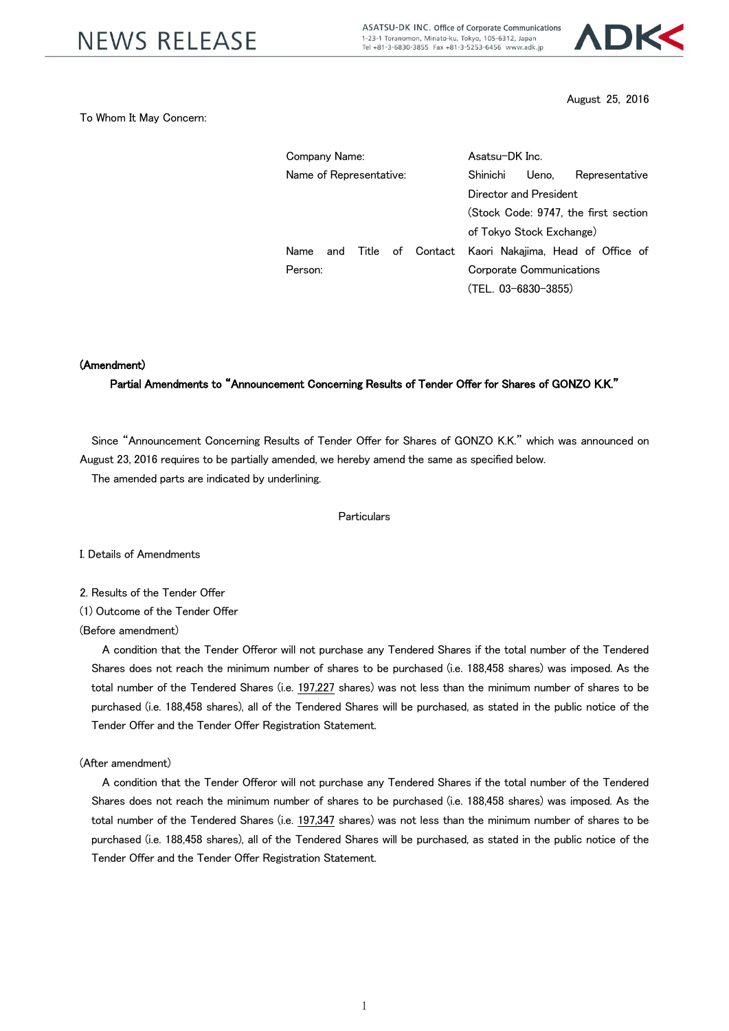ASATSU-DK INC. Office of Corporate Communications 1-23-1 Toranomon, Minato-ku, Tokyo, 105-6312, Japan Tel +81-3-6830-3855 Fax +81-3-5253-6456 www.adk.jp



August 25, 2016

### To Whom It May Concern:

| Company Name:           |  |  |  |                                                        | Asatsu-DK Inc.           |       |  |                |                                      |  |
|-------------------------|--|--|--|--------------------------------------------------------|--------------------------|-------|--|----------------|--------------------------------------|--|
| Name of Representative: |  |  |  | Shinichi                                               |                          | Ueno, |  | Representative |                                      |  |
|                         |  |  |  |                                                        | Director and President   |       |  |                |                                      |  |
|                         |  |  |  |                                                        |                          |       |  |                | (Stock Code: 9747, the first section |  |
|                         |  |  |  |                                                        | of Tokvo Stock Exchange) |       |  |                |                                      |  |
| Name                    |  |  |  | and Title of Contact Kaori Nakajima, Head of Office of |                          |       |  |                |                                      |  |
| Person:                 |  |  |  | Corporate Communications                               |                          |       |  |                |                                      |  |
|                         |  |  |  |                                                        | (TEL. 03-6830-3855)      |       |  |                |                                      |  |

### (Amendment)

## Partial Amendments to "Announcement Concerning Results of Tender Offer for Shares of GONZO K.K."

Since "Announcement Concerning Results of Tender Offer for Shares of GONZO K.K." which was announced on August 23, 2016 requires to be partially amended, we hereby amend the same as specified below.

The amended parts are indicated by underlining.

### **Particulars**

I. Details of Amendments

- 2. Results of the Tender Offer
- (1) Outcome of the Tender Offer

### (Before amendment)

A condition that the Tender Offeror will not purchase any Tendered Shares if the total number of the Tendered Shares does not reach the minimum number of shares to be purchased (i.e. 188,458 shares) was imposed. As the total number of the Tendered Shares (i.e. 197,227 shares) was not less than the minimum number of shares to be purchased (i.e. 188,458 shares), all of the Tendered Shares will be purchased, as stated in the public notice of the Tender Offer and the Tender Offer Registration Statement.

#### (After amendment)

A condition that the Tender Offeror will not purchase any Tendered Shares if the total number of the Tendered Shares does not reach the minimum number of shares to be purchased (i.e. 188,458 shares) was imposed. As the total number of the Tendered Shares (i.e. 197,347 shares) was not less than the minimum number of shares to be purchased (i.e. 188,458 shares), all of the Tendered Shares will be purchased, as stated in the public notice of the Tender Offer and the Tender Offer Registration Statement.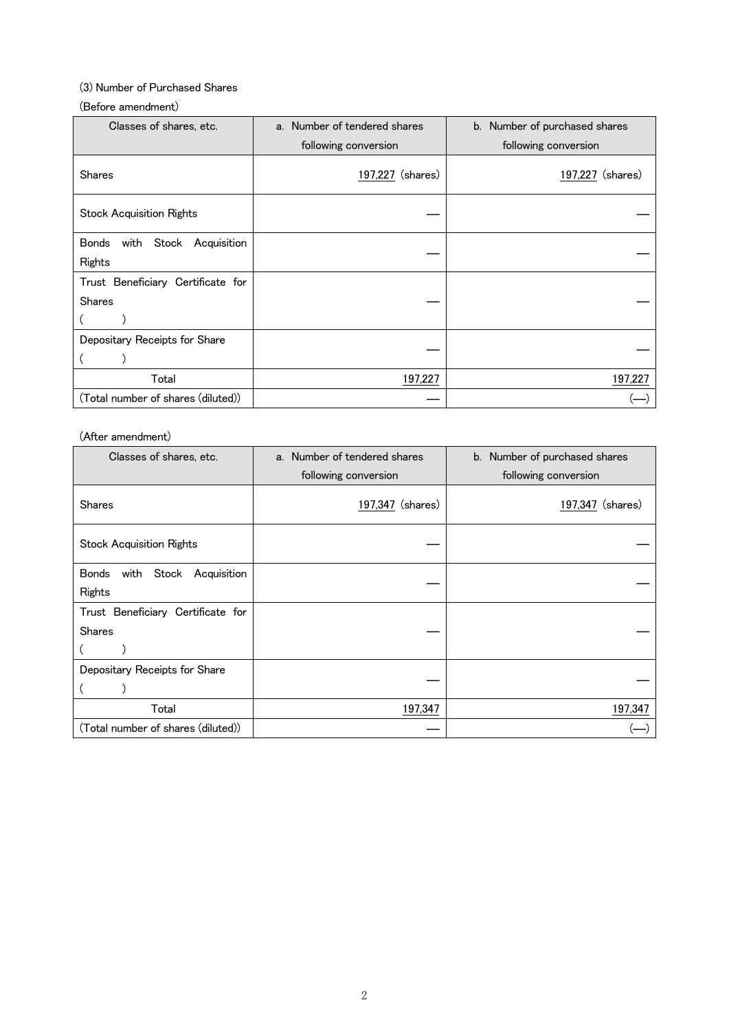# (3) Number of Purchased Shares

### (Before amendment)

| Classes of shares, etc.                            | a. Number of tendered shares | b. Number of purchased shares |  |
|----------------------------------------------------|------------------------------|-------------------------------|--|
|                                                    | following conversion         | following conversion          |  |
| <b>Shares</b>                                      | 197,227 (shares)             | 197,227 (shares)              |  |
| <b>Stock Acquisition Rights</b>                    |                              |                               |  |
| with<br>Stock Acquisition<br>Bonds<br>Rights       |                              |                               |  |
| Trust Beneficiary Certificate for<br><b>Shares</b> |                              |                               |  |
| Depositary Receipts for Share                      |                              |                               |  |
| Total                                              | 197,227                      | 197,227                       |  |
| (Total number of shares (diluted))                 |                              |                               |  |

## (After amendment)

| Classes of shares, etc.                             | a. Number of tendered shares | b. Number of purchased shares |  |  |
|-----------------------------------------------------|------------------------------|-------------------------------|--|--|
|                                                     | following conversion         | following conversion          |  |  |
| <b>Shares</b>                                       | 197,347 (shares)             | 197,347 (shares)              |  |  |
| <b>Stock Acquisition Rights</b>                     |                              |                               |  |  |
| with<br>Stock Acquisition<br><b>Bonds</b><br>Rights |                              |                               |  |  |
| Trust Beneficiary Certificate for<br><b>Shares</b>  |                              |                               |  |  |
| Depositary Receipts for Share                       |                              |                               |  |  |
| Total                                               | 197,347                      | 197,347                       |  |  |
| (Total number of shares (diluted))                  |                              |                               |  |  |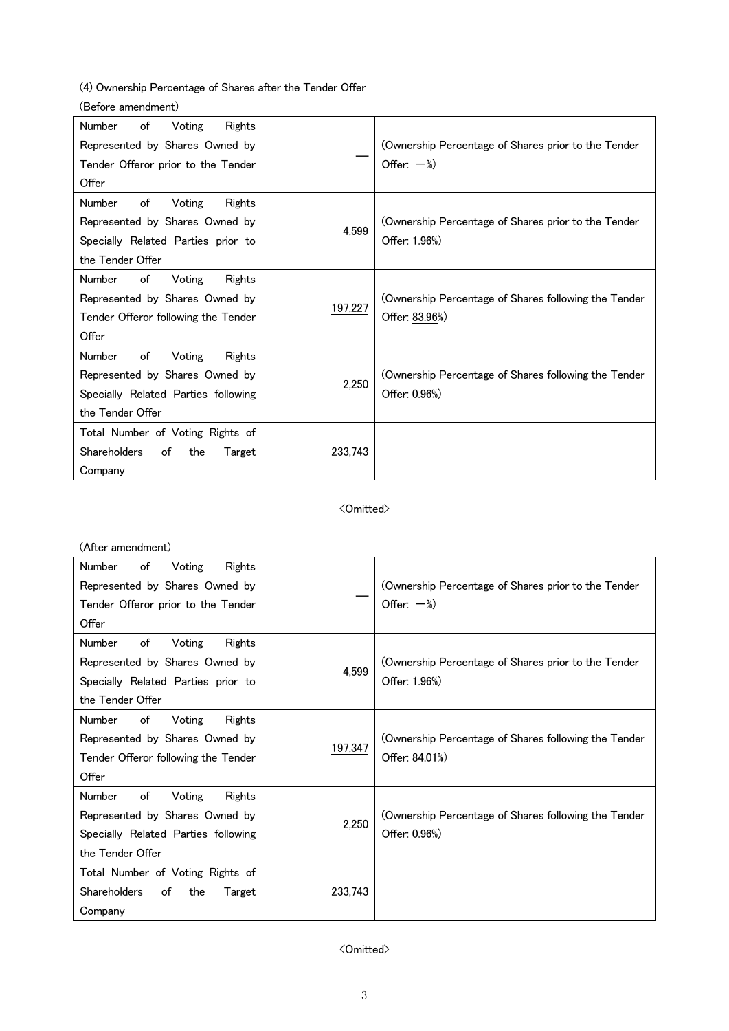(4) Ownership Percentage of Shares after the Tender Offer

## (Before amendment)

| <b>Number</b><br>of<br>Voting<br>Rights    |         |                                                      |
|--------------------------------------------|---------|------------------------------------------------------|
| Represented by Shares Owned by             |         | (Ownership Percentage of Shares prior to the Tender  |
| Tender Offeror prior to the Tender         |         | Offer: $-\%$ )                                       |
| Offer                                      |         |                                                      |
| <b>Number</b><br>of<br>Voting<br>Rights    |         |                                                      |
| Represented by Shares Owned by             | 4,599   | (Ownership Percentage of Shares prior to the Tender  |
| Specially Related Parties prior to         |         | Offer: 1.96%)                                        |
| the Tender Offer                           |         |                                                      |
| <b>Number</b><br>of<br>Voting<br>Rights    |         |                                                      |
| Represented by Shares Owned by             |         | (Ownership Percentage of Shares following the Tender |
| Tender Offeror following the Tender        | 197,227 | Offer: 83.96%)                                       |
| Offer                                      |         |                                                      |
| Number<br>of<br>Voting<br>Rights           |         |                                                      |
| Represented by Shares Owned by             | 2,250   | (Ownership Percentage of Shares following the Tender |
| Specially Related Parties following        |         | Offer: 0.96%)                                        |
| the Tender Offer                           |         |                                                      |
| Total Number of Voting Rights of           |         |                                                      |
| <b>Shareholders</b><br>of<br>the<br>Target | 233,743 |                                                      |
| Company                                    |         |                                                      |

### <Omitted>

### (After amendment)

| of<br>Voting<br>Number<br>Rights<br>Represented by Shares Owned by<br>Tender Offeror prior to the Tender<br>Offer                    |         | (Ownership Percentage of Shares prior to the Tender<br>Offer: $-\%$ )  |
|--------------------------------------------------------------------------------------------------------------------------------------|---------|------------------------------------------------------------------------|
| <b>Number</b><br>of<br>Voting<br>Rights<br>Represented by Shares Owned by<br>Specially Related Parties prior to<br>the Tender Offer  | 4,599   | (Ownership Percentage of Shares prior to the Tender<br>Offer: 1.96%)   |
| <b>Number</b><br>of<br>Rights<br>Voting<br>Represented by Shares Owned by<br>Tender Offeror following the Tender<br>Offer            | 197,347 | (Ownership Percentage of Shares following the Tender<br>Offer: 84.01%) |
| <b>Number</b><br>of<br>Voting<br>Rights<br>Represented by Shares Owned by<br>Specially Related Parties following<br>the Tender Offer | 2,250   | (Ownership Percentage of Shares following the Tender<br>Offer: 0.96%)  |
| Total Number of Voting Rights of<br><b>Shareholders</b><br>of<br>the<br>Target<br>Company                                            | 233,743 |                                                                        |

## <Omitted>